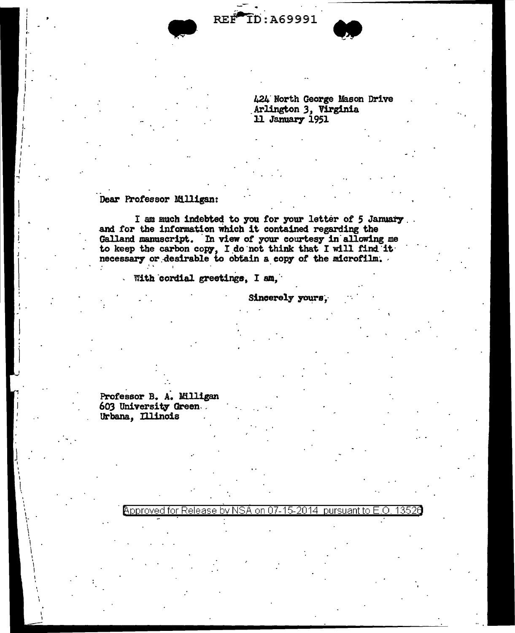REF ID: A69991



424 North George Mason Drive Arlington 3, Virginia 11 January 1951

## Dear Professor Milligan:

I am much indebted to you for your letter of 5 January. and for the information which it contained regarding the Galland manuscript. In view of your courtesy in allowing me to keep the carbon copy, I do not think that I will find it necessary or desirable to obtain a copy of the microfilm.

With cordial greetings, I am,

Sincerely yours.

Professor B. A. Milligan 603 University Green Urbana, Illinois

> <code>Approved</code> for Release by NSA on 07-15-2014  $\,$  pursuant to E.O.  $\,$ 1352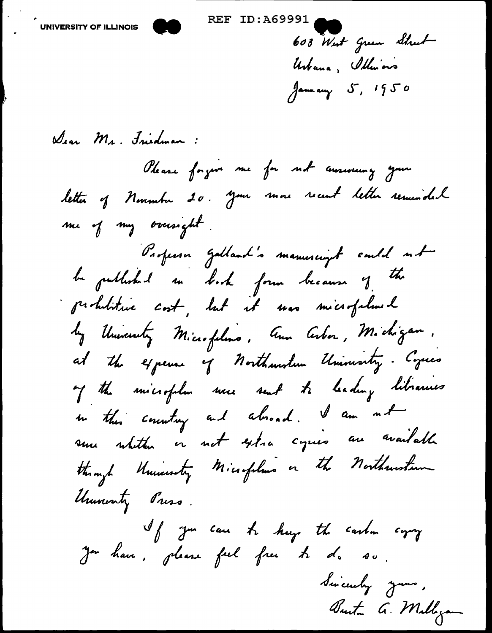603 West Green Strut Urbana, Illusions January 5, 1950

Dear Mr. Judman: Please forgon me for not answering your letter of November 20. your more recent letter resumidal me of my oversight. Parferson galland's manuscript sould not be published so book form because of the prohibitive cost, but it was microfalmed by University Microfolms, Aux Arber, Michigan. at the expense of northwestern University. Cycles of the microfolm nece sent to leading libraries in this country and alroad. I am not sure whither in not extra cycles are available through University Microfolius on the Northwestern University Press. If you can be keep the carbon copy Jon han, please feel free to do so. Sincerely your, Burton G. Millyan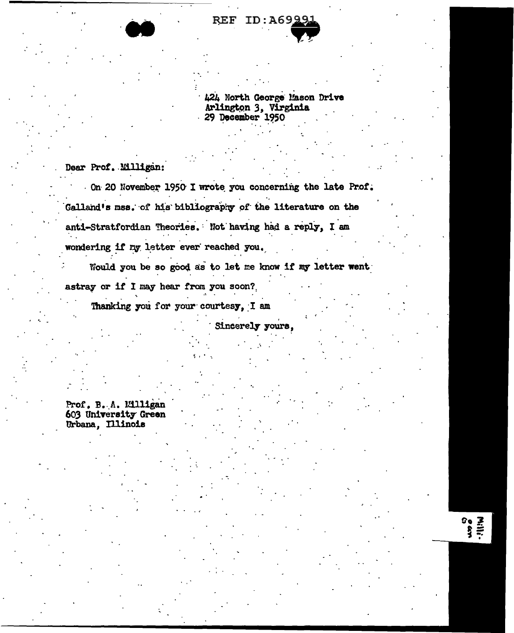

424 North George Mason Drive Arlington 3, Virginia 29 December 1950

Dear Prof. Milligan:

On 20 November 1950 I wrote you concerning the late Prof. Galland's mss. of his bibliography of the literature on the anti-Stratfordian Theories. Not having had a reply, I am wondering if my letter ever reached you.

Would you be so good as to let me know if my letter went

Sincerely yours,

astray or if I may hear from you soon?

Thanking you for your courtesy, I am

Prof. B. A. Milligan 603 University Green Urbana, Illinois

 $\sum_{i=1}^{n} a_i$